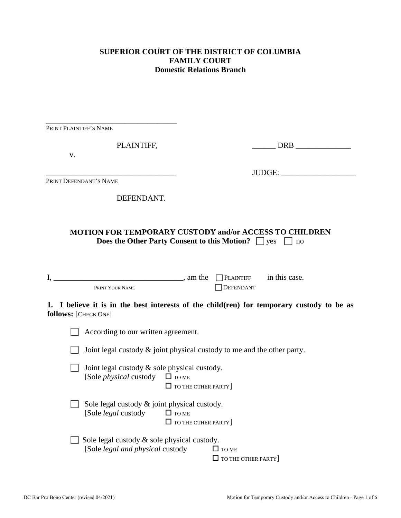## **SUPERIOR COURT OF THE DISTRICT OF COLUMBIA FAMILY COURT Domestic Relations Branch**

| PRINT PLAINTIFF'S NAME                                                             |                                                                                                                                       |
|------------------------------------------------------------------------------------|---------------------------------------------------------------------------------------------------------------------------------------|
| PLAINTIFF,                                                                         | DRB and the set of the set of the set of the set of the set of the set of the set of the set of the set of the                        |
| v.                                                                                 |                                                                                                                                       |
|                                                                                    | JUDGE:                                                                                                                                |
| PRINT DEFENDANT'S NAME                                                             |                                                                                                                                       |
| DEFENDANT.                                                                         |                                                                                                                                       |
|                                                                                    |                                                                                                                                       |
|                                                                                    | <b>MOTION FOR TEMPORARY CUSTODY and/or ACCESS TO CHILDREN</b><br><b>Does the Other Party Consent to this Motion?</b> $\Box$ yes<br>no |
| $I, \underline{\hspace{2cm}}$ , am the                                             | $\Box$ PLAINTIFF in this case.                                                                                                        |
| PRINT YOUR NAME                                                                    | DEFENDANT                                                                                                                             |
| follows: [CHECK ONE]                                                               | 1. I believe it is in the best interests of the child(ren) for temporary custody to be as                                             |
| According to our written agreement.                                                |                                                                                                                                       |
|                                                                                    | Joint legal custody $\&$ joint physical custody to me and the other party.                                                            |
| Joint legal custody & sole physical custody.<br>[Sole <i>physical</i> custody      | $\Box$ TO ME<br>$\Box$ TO THE OTHER PARTY                                                                                             |
| Sole legal custody $\&$ joint physical custody.<br>[Sole <i>legal</i> custody      | $\Box$ TO ME<br>$\Box$ TO THE OTHER PARTY                                                                                             |
| Sole legal custody $\&$ sole physical custody.<br>[Sole legal and physical custody | $\Box$ TO ME<br>$\Box$ TO THE OTHER PARTY                                                                                             |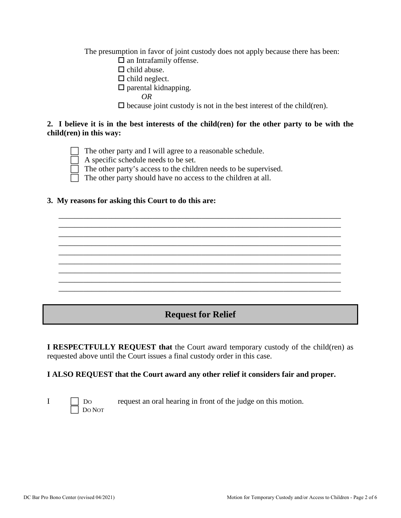The presumption in favor of joint custody does not apply because there has been:

- $\Box$  an Intrafamily offense.
- $\Box$  child abuse.
- $\Box$  child neglect.
- $\square$  parental kidnapping.
	- *OR*

 $\square$  because joint custody is not in the best interest of the child(ren).

#### **2. I believe it is in the best interests of the child(ren) for the other party to be with the child(ren) in this way:**

\_\_\_\_\_\_\_\_\_\_\_\_\_\_\_\_\_\_\_\_\_\_\_\_\_\_\_\_\_\_\_\_\_\_\_\_\_\_\_\_\_\_\_\_\_\_\_\_\_\_\_\_\_\_\_\_\_\_\_\_\_\_\_\_\_\_\_\_\_ \_\_\_\_\_\_\_\_\_\_\_\_\_\_\_\_\_\_\_\_\_\_\_\_\_\_\_\_\_\_\_\_\_\_\_\_\_\_\_\_\_\_\_\_\_\_\_\_\_\_\_\_\_\_\_\_\_\_\_\_\_\_\_\_\_\_\_\_\_ \_\_\_\_\_\_\_\_\_\_\_\_\_\_\_\_\_\_\_\_\_\_\_\_\_\_\_\_\_\_\_\_\_\_\_\_\_\_\_\_\_\_\_\_\_\_\_\_\_\_\_\_\_\_\_\_\_\_\_\_\_\_\_\_\_\_\_\_\_ \_\_\_\_\_\_\_\_\_\_\_\_\_\_\_\_\_\_\_\_\_\_\_\_\_\_\_\_\_\_\_\_\_\_\_\_\_\_\_\_\_\_\_\_\_\_\_\_\_\_\_\_\_\_\_\_\_\_\_\_\_\_\_\_\_\_\_\_\_ \_\_\_\_\_\_\_\_\_\_\_\_\_\_\_\_\_\_\_\_\_\_\_\_\_\_\_\_\_\_\_\_\_\_\_\_\_\_\_\_\_\_\_\_\_\_\_\_\_\_\_\_\_\_\_\_\_\_\_\_\_\_\_\_\_\_\_\_\_ \_\_\_\_\_\_\_\_\_\_\_\_\_\_\_\_\_\_\_\_\_\_\_\_\_\_\_\_\_\_\_\_\_\_\_\_\_\_\_\_\_\_\_\_\_\_\_\_\_\_\_\_\_\_\_\_\_\_\_\_\_\_\_\_\_\_\_\_\_ \_\_\_\_\_\_\_\_\_\_\_\_\_\_\_\_\_\_\_\_\_\_\_\_\_\_\_\_\_\_\_\_\_\_\_\_\_\_\_\_\_\_\_\_\_\_\_\_\_\_\_\_\_\_\_\_\_\_\_\_\_\_\_\_\_\_\_\_\_ \_\_\_\_\_\_\_\_\_\_\_\_\_\_\_\_\_\_\_\_\_\_\_\_\_\_\_\_\_\_\_\_\_\_\_\_\_\_\_\_\_\_\_\_\_\_\_\_\_\_\_\_\_\_\_\_\_\_\_\_\_\_\_\_\_\_\_\_\_ \_\_\_\_\_\_\_\_\_\_\_\_\_\_\_\_\_\_\_\_\_\_\_\_\_\_\_\_\_\_\_\_\_\_\_\_\_\_\_\_\_\_\_\_\_\_\_\_\_\_\_\_\_\_\_\_\_\_\_\_\_\_\_\_\_\_\_\_\_

The other party and I will agree to a reasonable schedule.

A specific schedule needs to be set.

The other party's access to the children needs to be supervised.

The other party should have no access to the children at all.

#### **3. My reasons for asking this Court to do this are:**

# **Request for Relief**

**I RESPECTFULLY REQUEST that** the Court award temporary custody of the child(ren) as requested above until the Court issues a final custody order in this case.

### **I ALSO REQUEST that the Court award any other relief it considers fair and proper.**

DO NOT

I DO request an oral hearing in front of the judge on this motion.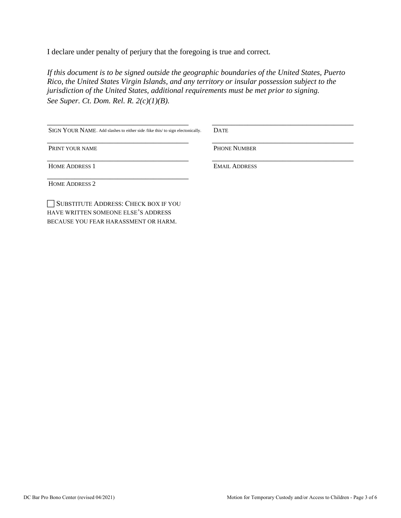I declare under penalty of perjury that the foregoing is true and correct*.* 

*If this document is to be signed outside the geographic boundaries of the United States, Puerto Rico, the United States Virgin Islands, and any territory or insular possession subject to the jurisdiction of the United States, additional requirements must be met prior to signing. See Super. Ct. Dom. Rel. R. 2(c)(1)(B).*

| SIGN YOUR NAME. Add slashes to either side /like this/ to sign electonically. | <b>DATE</b>          |
|-------------------------------------------------------------------------------|----------------------|
| PRINT YOUR NAME                                                               | <b>PHONE NUMBER</b>  |
| <b>HOME ADDRESS 1</b>                                                         | <b>EMAIL ADDRESS</b> |
| <b>HOME ADDRESS 2</b>                                                         |                      |

SUBSTITUTE ADDRESS: CHECK BOX IF YOU HAVE WRITTEN SOMEONE ELSE'S ADDRESS BECAUSE YOU FEAR HARASSMENT OR HARM.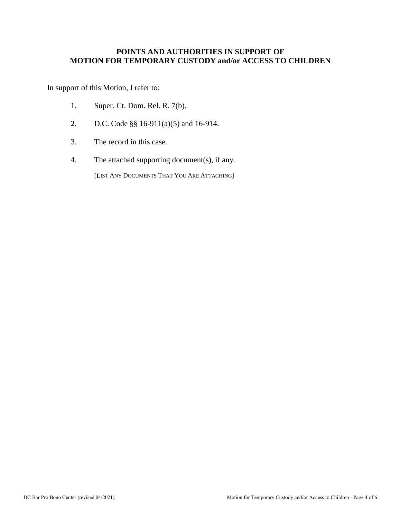#### **POINTS AND AUTHORITIES IN SUPPORT OF MOTION FOR TEMPORARY CUSTODY and/or ACCESS TO CHILDREN**

In support of this Motion, I refer to:

- 1. Super. Ct. Dom. Rel. R. 7(b).
- 2. D.C. Code §§ 16-911(a)(5) and 16-914.
- 3. The record in this case.
- 4. The attached supporting document(s), if any.

[LIST ANY DOCUMENTS THAT YOU ARE ATTACHING]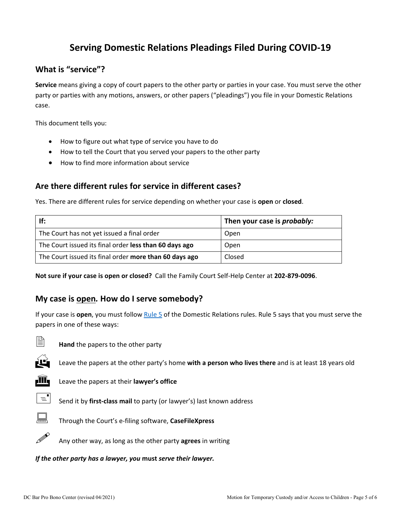# **Serving Domestic Relations Pleadings Filed During COVID-19**

# **What is "service"?**

**Service** means giving a copy of court papers to the other party or parties in your case. You must serve the other party or parties with any motions, answers, or other papers ("pleadings") you file in your Domestic Relations case.

This document tells you:

- How to figure out what type of service you have to do
- How to tell the Court that you served your papers to the other party
- How to find more information about service

# **Are there different rules for service in different cases?**

Yes. There are different rules for service depending on whether your case is **open** or **closed**.

| If:                                                    | Then your case is <i>probably:</i> |
|--------------------------------------------------------|------------------------------------|
| The Court has not yet issued a final order             | Open                               |
| The Court issued its final order less than 60 days ago | Open                               |
| The Court issued its final order more than 60 days ago | Closed                             |

**Not sure if your case is open or closed?** Call the Family Court Self-Help Center at **202-879-0096**.

### **My case is open***.* **How do I serve somebody?**

If your case is **open**, you must follow [Rule 5](http://www.dccourts.gov/sites/default/files/rules-superior-court/DR%20Rule%205.%20Serving%20and%20Filing%20of%20Other%20Pleadings%20and%20Papers.pdf) of the Domestic Relations rules. Rule 5 says that you must serve the papers in one of these ways:



**Hand** the papers to the other party



Leave the papers at the other party's home **with a person who lives there** and is at least 18 years old



**III** Leave the papers at their **lawyer's office** 



 $\equiv$  Send it by **first-class mail** to party (or lawyer's) last known address



Through the Court's e-filing software, **CaseFileXpress**



Any other way, as long as the other party **agrees** in writing

*If the other party has a lawyer, you* **must** *serve their lawyer.*